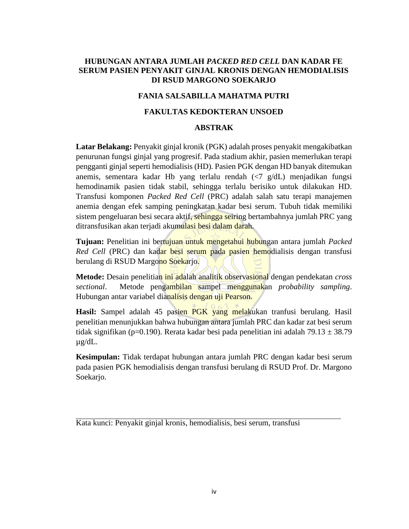# **HUBUNGAN ANTARA JUMLAH** *PACKED RED CELL* **DAN KADAR FE SERUM PASIEN PENYAKIT GINJAL KRONIS DENGAN HEMODIALISIS DI RSUD MARGONO SOEKARJO**

## **FANIA SALSABILLA MAHATMA PUTRI**

## **FAKULTAS KEDOKTERAN UNSOED**

### **ABSTRAK**

**Latar Belakang:** Penyakit ginjal kronik (PGK) adalah proses penyakit mengakibatkan penurunan fungsi ginjal yang progresif. Pada stadium akhir, pasien memerlukan terapi pengganti ginjal seperti hemodialisis (HD). Pasien PGK dengan HD banyak ditemukan anemis, sementara kadar Hb yang terlalu rendah (<7 g/dL) menjadikan fungsi hemodinamik pasien tidak stabil, sehingga terlalu berisiko untuk dilakukan HD. Transfusi komponen *Packed Red Cell* (PRC) adalah salah satu terapi manajemen anemia dengan efek samping peningkatan kadar besi serum. Tubuh tidak memiliki sistem pengeluaran besi secara aktif, sehingga seiring bertambahnya jumlah PRC yang ditransfusikan akan terjadi akumulasi besi dalam darah.

**Tujuan:** Penelitian ini bertujuan untuk mengetahui hubungan antara jumlah *Packed Red Cell* (PRC) dan kadar besi serum pada pasien hemodialisis dengan transfusi berulang di RSUD Margono Soekarjo.

**Metode:** Desain penelitian ini adalah analitik observasional dengan pendekatan *cross sectional*. Metode pengambilan sampel menggunakan *probability sampling*. Hubungan antar variabel dianalisis dengan uji Pearson.

Hasil: Sampel adalah 45 pasien PGK yang melakukan tranfusi berulang. Hasil penelitian menunjukkan bahwa hubungan antara jumlah PRC dan kadar zat besi serum tidak signifikan (p=0.190). Rerata kadar besi pada penelitian ini adalah 79.13  $\pm$  38.79 µg/dL.

**Kesimpulan:** Tidak terdapat hubungan antara jumlah PRC dengan kadar besi serum pada pasien PGK hemodialisis dengan transfusi berulang di RSUD Prof. Dr. Margono Soekarjo.

Kata kunci: Penyakit ginjal kronis, hemodialisis, besi serum, transfusi